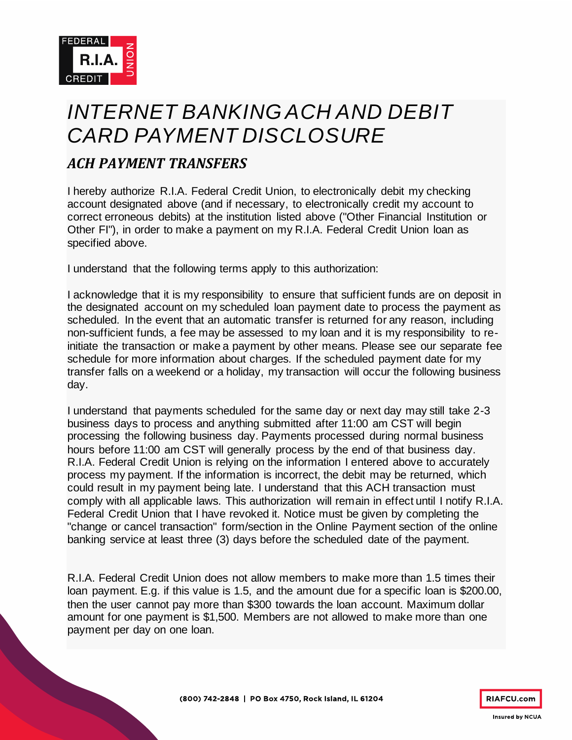

## *INTERNET BANKING ACH AND DEBIT CARD PAYMENT DISCLOSURE*

## *ACH PAYMENT TRANSFERS*

I hereby authorize R.I.A. Federal Credit Union, to electronically debit my checking account designated above (and if necessary, to electronically credit my account to correct erroneous debits) at the institution listed above ("Other Financial Institution or Other FI"), in order to make a payment on my R.I.A. Federal Credit Union loan as specified above.

I understand that the following terms apply to this authorization:

I acknowledge that it is my responsibility to ensure that sufficient funds are on deposit in the designated account on my scheduled loan payment date to process the payment as scheduled. In the event that an automatic transfer is returned for any reason, including non-sufficient funds, a fee may be assessed to my loan and it is my responsibility to reinitiate the transaction or make a payment by other means. Please see our separate fee schedule for more information about charges. If the scheduled payment date for my transfer falls on a weekend or a holiday, my transaction will occur the following business day.

I understand that payments scheduled for the same day or next day may still take 2-3 business days to process and anything submitted after 11:00 am CST will begin processing the following business day. Payments processed during normal business hours before 11:00 am CST will generally process by the end of that business day. R.I.A. Federal Credit Union is relying on the information I entered above to accurately process my payment. If the information is incorrect, the debit may be returned, which could result in my payment being late. I understand that this ACH transaction must comply with all applicable laws. This authorization will remain in effect until I notify R.I.A. Federal Credit Union that I have revoked it. Notice must be given by completing the "change or cancel transaction" form/section in the Online Payment section of the online banking service at least three (3) days before the scheduled date of the payment.

R.I.A. Federal Credit Union does not allow members to make more than 1.5 times their loan payment. E.g. if this value is 1.5, and the amount due for a specific loan is \$200.00, then the user cannot pay more than \$300 towards the loan account. Maximum dollar amount for one payment is \$1,500. Members are not allowed to make more than one payment per day on one loan.

**RIAFCU.com**